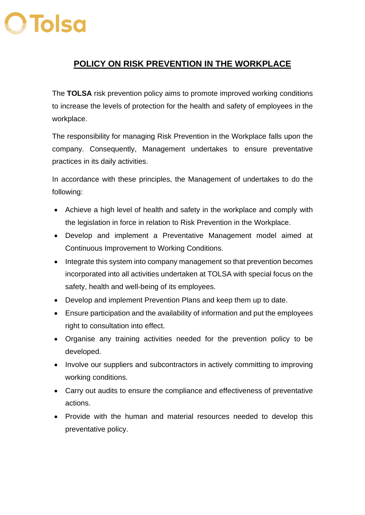## **O** Tolso

## **POLICY ON RISK PREVENTION IN THE WORKPLACE**

The **TOLSA** risk prevention policy aims to promote improved working conditions to increase the levels of protection for the health and safety of employees in the workplace.

The responsibility for managing Risk Prevention in the Workplace falls upon the company. Consequently, Management undertakes to ensure preventative practices in its daily activities.

In accordance with these principles, the Management of undertakes to do the following:

- Achieve a high level of health and safety in the workplace and comply with the legislation in force in relation to Risk Prevention in the Workplace.
- Develop and implement a Preventative Management model aimed at Continuous Improvement to Working Conditions.
- Integrate this system into company management so that prevention becomes incorporated into all activities undertaken at TOLSA with special focus on the safety, health and well-being of its employees.
- Develop and implement Prevention Plans and keep them up to date.
- Ensure participation and the availability of information and put the employees right to consultation into effect.
- Organise any training activities needed for the prevention policy to be developed.
- Involve our suppliers and subcontractors in actively committing to improving working conditions.
- Carry out audits to ensure the compliance and effectiveness of preventative actions.
- Provide with the human and material resources needed to develop this preventative policy.